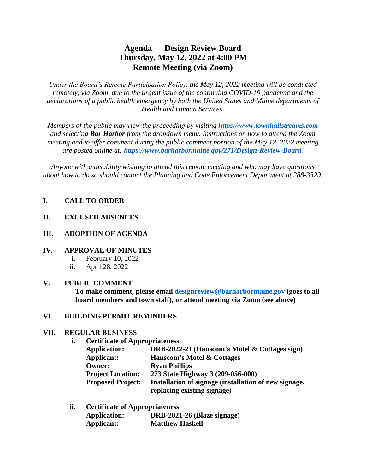# **Agenda — Design Review Board Thursday, May 12, 2022 at 4:00 PM Remote Meeting (via Zoom)**

*Under the Board's Remote Participation Policy, the May 12, 2022 meeting will be conducted remotely, via Zoom, due to the urgent issue of the continuing COVID-19 pandemic and the declarations of a public health emergency by both the United States and Maine departments of Health and Human Services.*

*Members of the public may view the proceeding by visiting [https://www.townhallstreams.com](https://www.townhallstreams.com/) and selecting Bar Harbor from the dropdown menu. Instructions on how to attend the Zoom meeting and to offer comment during the public comment portion of the May 12, 2022 meeting are posted online at: <https://www.barharbormaine.gov/271/Design-Review-Board>.*

*Anyone with a disability wishing to attend this remote meeting and who may have questions about how to do so should contact the Planning and Code Enforcement Department at 288-3329.*

### **I. CALL TO ORDER**

**II. EXCUSED ABSENCES**

### **III. ADOPTION OF AGENDA**

#### **IV. APPROVAL OF MINUTES**

- **i.** February 10, 2022
- **ii.** April 28, 2022

#### **V. PUBLIC COMMENT**

**To make comment, please email [designreview@barharbormaine.gov](mailto:designreview@barharbormaine.gov) (goes to all board members and town staff), or attend meeting via Zoom (see above)**

#### **VI. BUILDING PERMIT REMINDERS**

#### **VII. REGULAR BUSINESS**

**i. Certificate of Appropriateness**

| <b>Application:</b>      | DRB-2022-21 (Hanscom's Motel & Cottages sign)         |
|--------------------------|-------------------------------------------------------|
| Applicant:               | <b>Hanscom's Motel &amp; Cottages</b>                 |
| <b>Owner:</b>            | <b>Ryan Phillips</b>                                  |
| <b>Project Location:</b> | 273 State Highway 3 (209-056-000)                     |
| <b>Proposed Project:</b> | Installation of signage (installation of new signage, |
|                          | replacing existing signage)                           |

**ii. Certificate of Appropriateness Application: DRB-2021-26 (Blaze signage) Applicant: Matthew Haskell**